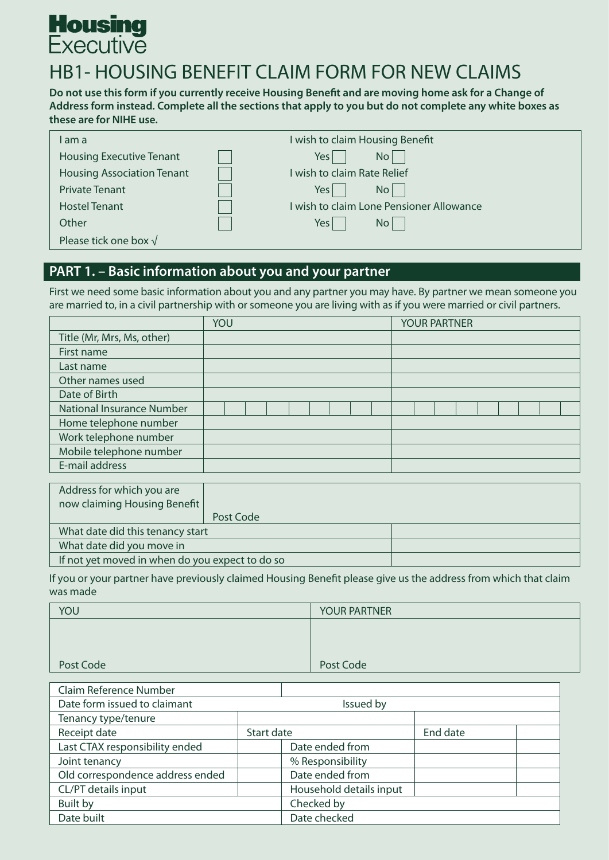# **Housing**<br>Executive

# HB1- HOUSING BENEFIT CLAIM FORM FOR NEW CLAIMS

**Do not use this form if you currently receive Housing Benefit and are moving home ask for a Change of Address form instead. Complete all the sections that apply to you but do not complete any white boxes as these are for NIHE use.**

| am a                              | wish to claim Housing Benefit          |
|-----------------------------------|----------------------------------------|
| <b>Housing Executive Tenant</b>   | No<br>Yes l                            |
| <b>Housing Association Tenant</b> | wish to claim Rate Relief              |
| <b>Private Tenant</b>             | No <sub>1</sub><br>Yes l               |
| <b>Hostel Tenant</b>              | wish to claim Lone Pensioner Allowance |
| Other                             | No<br>Yes                              |
| Please tick one box $\sqrt{}$     |                                        |

# **PART 1. – Basic information about you and your partner**

First we need some basic information about you and any partner you may have. By partner we mean someone you are married to, in a civil partnership with or someone you are living with as if you were married or civil partners.

|                                  | YOU | <b>YOUR PARTNER</b> |
|----------------------------------|-----|---------------------|
| Title (Mr, Mrs, Ms, other)       |     |                     |
| First name                       |     |                     |
| Last name                        |     |                     |
| Other names used                 |     |                     |
| Date of Birth                    |     |                     |
| <b>National Insurance Number</b> |     |                     |
| Home telephone number            |     |                     |
| Work telephone number            |     |                     |
| Mobile telephone number          |     |                     |
| E-mail address                   |     |                     |

| Address for which you are                       |           |  |
|-------------------------------------------------|-----------|--|
| now claiming Housing Benefit                    |           |  |
|                                                 | Post Code |  |
| What date did this tenancy start                |           |  |
| What date did you move in                       |           |  |
| If not yet moved in when do you expect to do so |           |  |

If you or your partner have previously claimed Housing Benefit please give us the address from which that claim was made

| YOU       | <b>YOUR PARTNER</b> |
|-----------|---------------------|
|           |                     |
|           |                     |
|           |                     |
| Post Code | Post Code           |

| Claim Reference Number           |            |                         |          |  |
|----------------------------------|------------|-------------------------|----------|--|
| Date form issued to claimant     | Issued by  |                         |          |  |
| Tenancy type/tenure              |            |                         |          |  |
| Receipt date                     | Start date |                         | End date |  |
| Last CTAX responsibility ended   |            | Date ended from         |          |  |
| Joint tenancy                    |            | % Responsibility        |          |  |
| Old correspondence address ended |            | Date ended from         |          |  |
| CL/PT details input              |            | Household details input |          |  |
| <b>Built by</b>                  |            | Checked by              |          |  |
| Date built                       |            | Date checked            |          |  |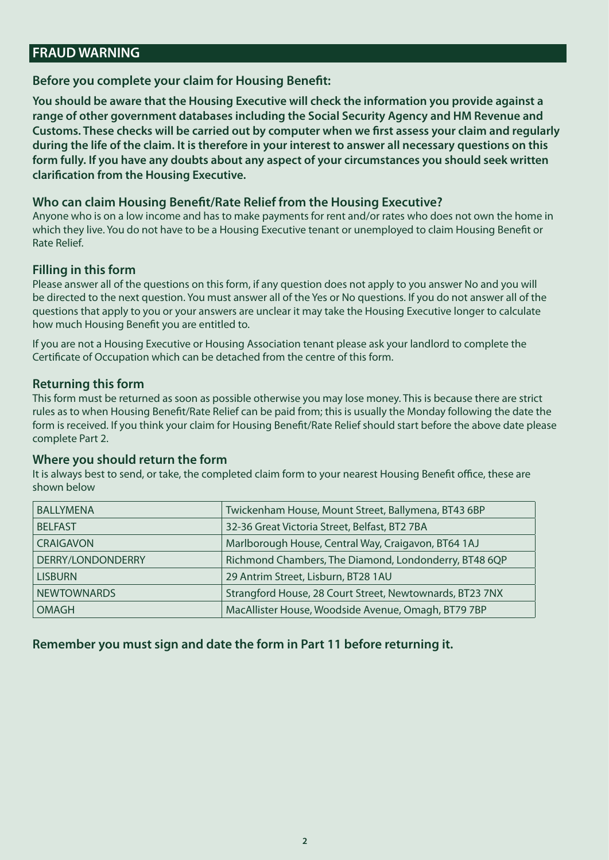# **FRAUD WARNING**

#### **Before you complete your claim for Housing Benefit:**

**You should be aware that the Housing Executive will check the information you provide against a range of other government databases including the Social Security Agency and HM Revenue and Customs. These checks will be carried out by computer when we first assess your claim and regularly during the life of the claim. It is therefore in your interest to answer all necessary questions on this form fully. If you have any doubts about any aspect of your circumstances you should seek written clarification from the Housing Executive.** 

#### **Who can claim Housing Benefit/Rate Relief from the Housing Executive?**

Anyone who is on a low income and has to make payments for rent and/or rates who does not own the home in which they live. You do not have to be a Housing Executive tenant or unemployed to claim Housing Benefit or Rate Relief.

#### **Filling in this form**

Please answer all of the questions on this form, if any question does not apply to you answer No and you will be directed to the next question. You must answer all of the Yes or No questions. If you do not answer all of the questions that apply to you or your answers are unclear it may take the Housing Executive longer to calculate how much Housing Benefit you are entitled to.

If you are not a Housing Executive or Housing Association tenant please ask your landlord to complete the Certificate of Occupation which can be detached from the centre of this form.

#### **Returning this form**

This form must be returned as soon as possible otherwise you may lose money. This is because there are strict rules as to when Housing Benefit/Rate Relief can be paid from; this is usually the Monday following the date the form is received. If you think your claim for Housing Benefit/Rate Relief should start before the above date please complete Part 2.

#### **Where you should return the form**

It is always best to send, or take, the completed claim form to your nearest Housing Benefit office, these are shown below

| <b>BALLYMENA</b>   | Twickenham House, Mount Street, Ballymena, BT43 6BP      |
|--------------------|----------------------------------------------------------|
| <b>BELFAST</b>     | 32-36 Great Victoria Street, Belfast, BT2 7BA            |
| <b>CRAIGAVON</b>   | Marlborough House, Central Way, Craigavon, BT64 1AJ      |
| DERRY/LONDONDERRY  | Richmond Chambers, The Diamond, Londonderry, BT48 6QP    |
| <b>LISBURN</b>     | 29 Antrim Street, Lisburn, BT28 1AU                      |
| <b>NEWTOWNARDS</b> | Strangford House, 28 Court Street, Newtownards, BT23 7NX |
| <b>OMAGH</b>       | MacAllister House, Woodside Avenue, Omagh, BT79 7BP      |

#### **Remember you must sign and date the form in Part 11 before returning it.**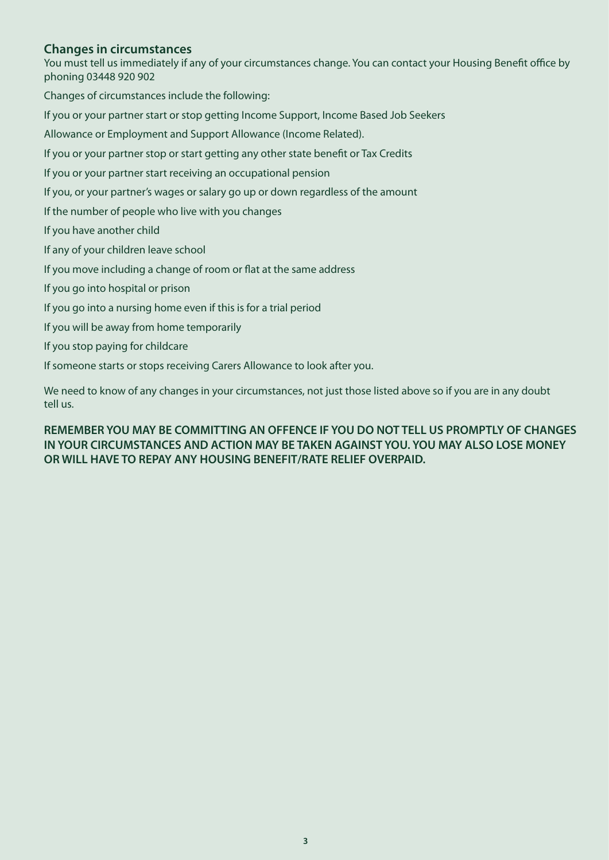#### **Changes in circumstances**

You must tell us immediately if any of your circumstances change. You can contact your Housing Benefit office by phoning 03448 920 902

Changes of circumstances include the following:

If you or your partner start or stop getting Income Support, Income Based Job Seekers

Allowance or Employment and Support Allowance (Income Related).

If you or your partner stop or start getting any other state benefit or Tax Credits

If you or your partner start receiving an occupational pension

If you, or your partner's wages or salary go up or down regardless of the amount

If the number of people who live with you changes

If you have another child

If any of your children leave school

If you move including a change of room or flat at the same address

If you go into hospital or prison

If you go into a nursing home even if this is for a trial period

If you will be away from home temporarily

If you stop paying for childcare

If someone starts or stops receiving Carers Allowance to look after you.

We need to know of any changes in your circumstances, not just those listed above so if you are in any doubt tell us.

#### **REMEMBER YOU MAY BE COMMITTING AN OFFENCE IF YOU DO NOT TELL US PROMPTLY OF CHANGES IN YOUR CIRCUMSTANCES AND ACTION MAY BE TAKEN AGAINST YOU. YOU MAY ALSO LOSE MONEY OR WILL HAVE TO REPAY ANY HOUSING BENEFIT/RATE RELIEF OVERPAID.**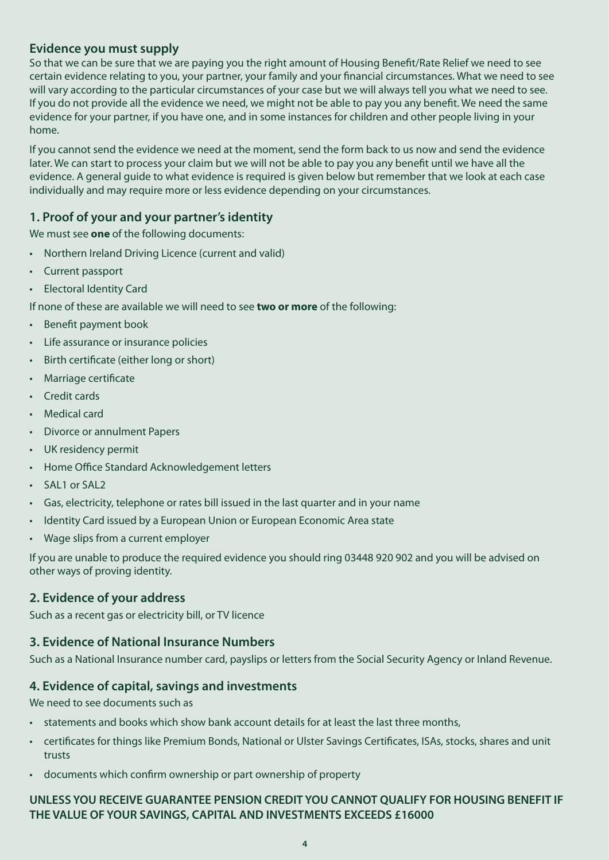## **Evidence you must supply**

So that we can be sure that we are paying you the right amount of Housing Benefit/Rate Relief we need to see certain evidence relating to you, your partner, your family and your financial circumstances. What we need to see will vary according to the particular circumstances of your case but we will always tell you what we need to see. If you do not provide all the evidence we need, we might not be able to pay you any benefit. We need the same evidence for your partner, if you have one, and in some instances for children and other people living in your home.

If you cannot send the evidence we need at the moment, send the form back to us now and send the evidence later. We can start to process your claim but we will not be able to pay you any benefit until we have all the evidence. A general guide to what evidence is required is given below but remember that we look at each case individually and may require more or less evidence depending on your circumstances.

#### **1. Proof of your and your partner's identity**

We must see **one** of the following documents:

- Northern Ireland Driving Licence (current and valid)
- Current passport
- Electoral Identity Card

If none of these are available we will need to see **two or more** of the following:

- Benefit payment book
- Life assurance or insurance policies
- Birth certificate (either long or short)
- Marriage certificate
- Credit cards
- Medical card
- Divorce or annulment Papers
- UK residency permit
- Home Office Standard Acknowledgement letters
- SAL1 or SAL2
- Gas, electricity, telephone or rates bill issued in the last quarter and in your name
- Identity Card issued by a European Union or European Economic Area state
- Wage slips from a current employer

If you are unable to produce the required evidence you should ring 03448 920 902 and you will be advised on other ways of proving identity.

#### **2. Evidence of your address**

Such as a recent gas or electricity bill, or TV licence

#### **3. Evidence of National Insurance Numbers**

Such as a National Insurance number card, payslips or letters from the Social Security Agency or Inland Revenue.

#### **4. Evidence of capital, savings and investments**

We need to see documents such as

- statements and books which show bank account details for at least the last three months,
- certificates for things like Premium Bonds, National or Ulster Savings Certificates, ISAs, stocks, shares and unit trusts
- documents which confirm ownership or part ownership of property

#### **UNLESS YOU RECEIVE GUARANTEE PENSION CREDIT YOU CANNOT QUALIFY FOR HOUSING BENEFIT IF THE VALUE OF YOUR SAVINGS, CAPITAL AND INVESTMENTS EXCEEDS £16000**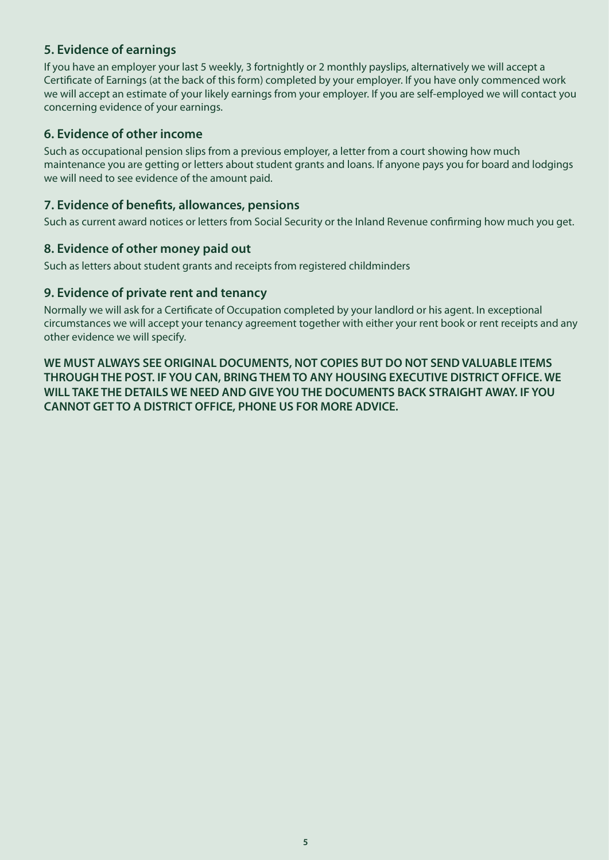# **5. Evidence of earnings**

If you have an employer your last 5 weekly, 3 fortnightly or 2 monthly payslips, alternatively we will accept a Certificate of Earnings (at the back of this form) completed by your employer. If you have only commenced work we will accept an estimate of your likely earnings from your employer. If you are self-employed we will contact you concerning evidence of your earnings.

# **6. Evidence of other income**

Such as occupational pension slips from a previous employer, a letter from a court showing how much maintenance you are getting or letters about student grants and loans. If anyone pays you for board and lodgings we will need to see evidence of the amount paid.

# **7. Evidence of benefits, allowances, pensions**

Such as current award notices or letters from Social Security or the Inland Revenue confirming how much you get.

#### **8. Evidence of other money paid out**

Such as letters about student grants and receipts from registered childminders

#### **9. Evidence of private rent and tenancy**

Normally we will ask for a Certificate of Occupation completed by your landlord or his agent. In exceptional circumstances we will accept your tenancy agreement together with either your rent book or rent receipts and any other evidence we will specify.

**WE MUST ALWAYS SEE ORIGINAL DOCUMENTS, NOT COPIES BUT DO NOT SEND VALUABLE ITEMS THROUGH THE POST. IF YOU CAN, BRING THEM TO ANY HOUSING EXECUTIVE DISTRICT OFFICE. WE WILL TAKE THE DETAILS WE NEED AND GIVE YOU THE DOCUMENTS BACK STRAIGHT AWAY. IF YOU CANNOT GET TO A DISTRICT OFFICE, PHONE US FOR MORE ADVICE.**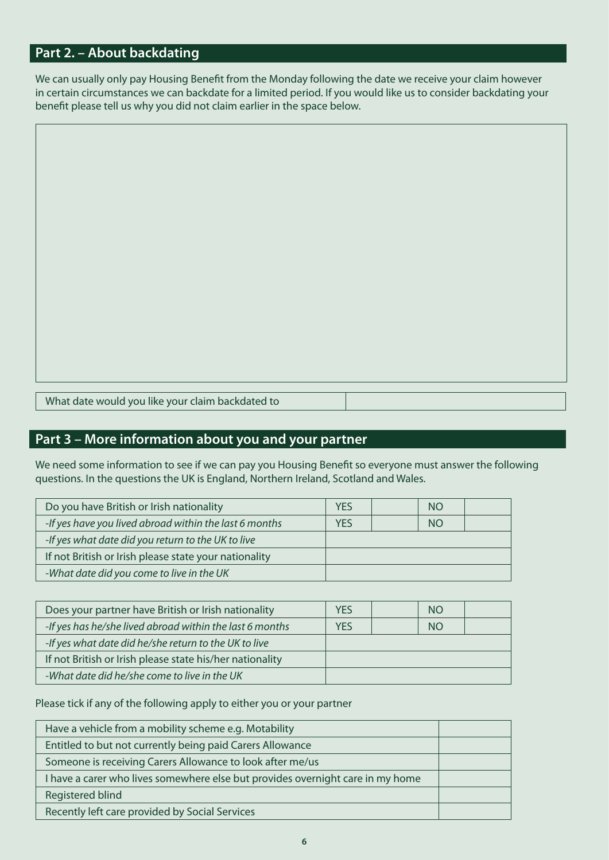# **Part 2. – About backdating**

We can usually only pay Housing Benefit from the Monday following the date we receive your claim however in certain circumstances we can backdate for a limited period. If you would like us to consider backdating your benefit please tell us why you did not claim earlier in the space below.

What date would you like your claim backdated to

# **Part 3 – More information about you and your partner**

We need some information to see if we can pay you Housing Benefit so everyone must answer the following questions. In the questions the UK is England, Northern Ireland, Scotland and Wales.

| Do you have British or Irish nationality               |            | <b>NO</b> |  |
|--------------------------------------------------------|------------|-----------|--|
| -If yes have you lived abroad within the last 6 months | <b>YES</b> | <b>NO</b> |  |
| -If yes what date did you return to the UK to live     |            |           |  |
| If not British or Irish please state your nationality  |            |           |  |
| -What date did you come to live in the UK              |            |           |  |

| Does your partner have British or Irish nationality      |     | <b>NO</b> |  |
|----------------------------------------------------------|-----|-----------|--|
| -If yes has he/she lived abroad within the last 6 months | YES | <b>NO</b> |  |
| -If yes what date did he/she return to the UK to live    |     |           |  |
| If not British or Irish please state his/her nationality |     |           |  |
| -What date did he/she come to live in the UK             |     |           |  |

Please tick if any of the following apply to either you or your partner

| Have a vehicle from a mobility scheme e.g. Motability                          |  |
|--------------------------------------------------------------------------------|--|
| Entitled to but not currently being paid Carers Allowance                      |  |
| Someone is receiving Carers Allowance to look after me/us                      |  |
| I have a carer who lives somewhere else but provides overnight care in my home |  |
| Registered blind                                                               |  |
| Recently left care provided by Social Services                                 |  |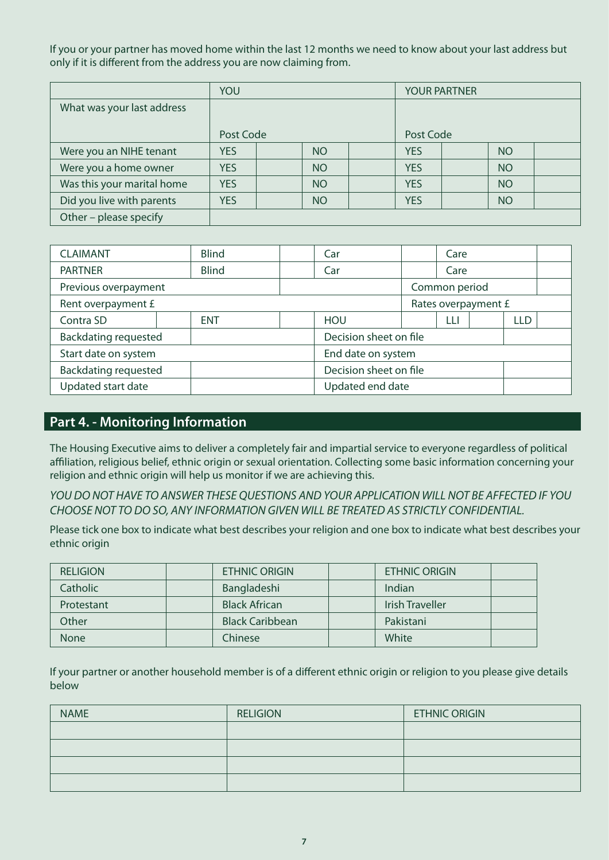If you or your partner has moved home within the last 12 months we need to know about your last address but only if it is different from the address you are now claiming from.

|                            | YOU        |  |                 |  | <b>YOUR PARTNER</b> |  |           |  |
|----------------------------|------------|--|-----------------|--|---------------------|--|-----------|--|
| What was your last address |            |  |                 |  |                     |  |           |  |
|                            |            |  |                 |  |                     |  |           |  |
|                            | Post Code  |  |                 |  | Post Code           |  |           |  |
| Were you an NIHE tenant    | <b>YES</b> |  | N <sub>O</sub>  |  | <b>YES</b>          |  | <b>NO</b> |  |
| Were you a home owner      | <b>YES</b> |  | <b>NO</b>       |  | <b>YES</b>          |  | <b>NO</b> |  |
| Was this your marital home | <b>YES</b> |  | NO <sub>1</sub> |  | <b>YES</b>          |  | <b>NO</b> |  |
| Did you live with parents  | <b>YES</b> |  | <b>NO</b>       |  | <b>YES</b>          |  | <b>NO</b> |  |
| Other - please specify     |            |  |                 |  |                     |  |           |  |

| <b>CLAIMANT</b>             | <b>Blind</b> |  | Car                    |                    | Care |                     |            |  |  |  |
|-----------------------------|--------------|--|------------------------|--------------------|------|---------------------|------------|--|--|--|
| <b>PARTNER</b>              | <b>Blind</b> |  | Car                    |                    | Care |                     |            |  |  |  |
| Previous overpayment        |              |  |                        | Common period      |      |                     |            |  |  |  |
| Rent overpayment £          |              |  |                        |                    |      | Rates overpayment £ |            |  |  |  |
| Contra SD                   | <b>ENT</b>   |  | <b>HOU</b>             |                    | Ш    |                     | <b>LLD</b> |  |  |  |
| <b>Backdating requested</b> |              |  | Decision sheet on file |                    |      |                     |            |  |  |  |
| Start date on system        |              |  |                        | End date on system |      |                     |            |  |  |  |
| <b>Backdating requested</b> |              |  | Decision sheet on file |                    |      |                     |            |  |  |  |
| Updated start date          |              |  | Updated end date       |                    |      |                     |            |  |  |  |

# **Part 4. - Monitoring Information**

The Housing Executive aims to deliver a completely fair and impartial service to everyone regardless of political affiliation, religious belief, ethnic origin or sexual orientation. Collecting some basic information concerning your religion and ethnic origin will help us monitor if we are achieving this.

*YOU DO NOT HAVE TO ANSWER THESE QUESTIONS AND YOUR APPLICATION WILL NOT BE AFFECTED IF YOU CHOOSE NOT TO DO SO, ANY INFORMATION GIVEN WILL BE TREATED AS STRICTLY CONFIDENTIAL.*

Please tick one box to indicate what best describes your religion and one box to indicate what best describes your ethnic origin

| <b>RELIGION</b> |         | <b>ETHNIC ORIGIN</b>   | <b>ETHNIC ORIGIN</b>   |  |
|-----------------|---------|------------------------|------------------------|--|
| <b>Catholic</b> |         | Bangladeshi            | Indian                 |  |
| Protestant      |         | <b>Black African</b>   | <b>Irish Traveller</b> |  |
| Other           |         | <b>Black Caribbean</b> | Pakistani              |  |
| <b>None</b>     | Chinese |                        | White                  |  |

If your partner or another household member is of a different ethnic origin or religion to you please give details below

| <b>NAME</b> | <b>RELIGION</b> | <b>ETHNIC ORIGIN</b> |
|-------------|-----------------|----------------------|
|             |                 |                      |
|             |                 |                      |
|             |                 |                      |
|             |                 |                      |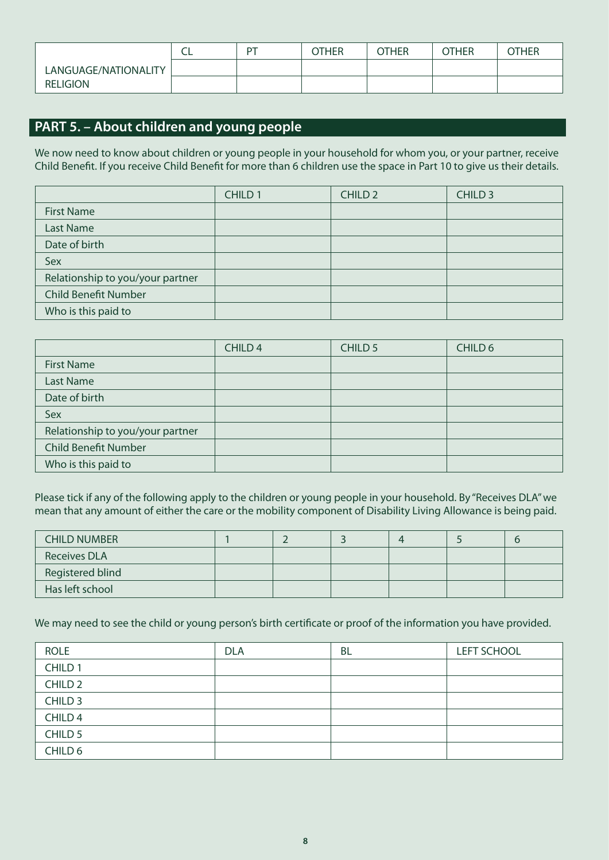|                      | ∽ | D1 | OTHER | OTHER | <b>OTHER</b> | OTHER |
|----------------------|---|----|-------|-------|--------------|-------|
| LANGUAGE/NATIONALITY |   |    |       |       |              |       |
| <b>RELIGION</b>      |   |    |       |       |              |       |

# **PART 5. – About children and young people**

We now need to know about children or young people in your household for whom you, or your partner, receive Child Benefit. If you receive Child Benefit for more than 6 children use the space in Part 10 to give us their details.

|                                  | CHILD <sub>1</sub> | <b>CHILD 2</b> | CHILD <sub>3</sub> |
|----------------------------------|--------------------|----------------|--------------------|
| <b>First Name</b>                |                    |                |                    |
| <b>Last Name</b>                 |                    |                |                    |
| Date of birth                    |                    |                |                    |
| Sex                              |                    |                |                    |
| Relationship to you/your partner |                    |                |                    |
| <b>Child Benefit Number</b>      |                    |                |                    |
| Who is this paid to              |                    |                |                    |

|                                  | CHILD <sub>4</sub> | CHILD <sub>5</sub> | CHILD 6 |
|----------------------------------|--------------------|--------------------|---------|
| <b>First Name</b>                |                    |                    |         |
| <b>Last Name</b>                 |                    |                    |         |
| Date of birth                    |                    |                    |         |
| Sex                              |                    |                    |         |
| Relationship to you/your partner |                    |                    |         |
| <b>Child Benefit Number</b>      |                    |                    |         |
| Who is this paid to              |                    |                    |         |

Please tick if any of the following apply to the children or young people in your household. By "Receives DLA" we mean that any amount of either the care or the mobility component of Disability Living Allowance is being paid.

| <b>CHILD NUMBER</b>     |  |  |  |
|-------------------------|--|--|--|
| <b>Receives DLA</b>     |  |  |  |
| <b>Registered blind</b> |  |  |  |
| Has left school         |  |  |  |

We may need to see the child or young person's birth certificate or proof of the information you have provided.

| <b>ROLE</b>        | <b>DLA</b> | BL | <b>LEFT SCHOOL</b> |
|--------------------|------------|----|--------------------|
| CHILD <sub>1</sub> |            |    |                    |
| CHILD <sub>2</sub> |            |    |                    |
| CHILD <sub>3</sub> |            |    |                    |
| CHILD <sub>4</sub> |            |    |                    |
| CHILD 5            |            |    |                    |
| CHILD 6            |            |    |                    |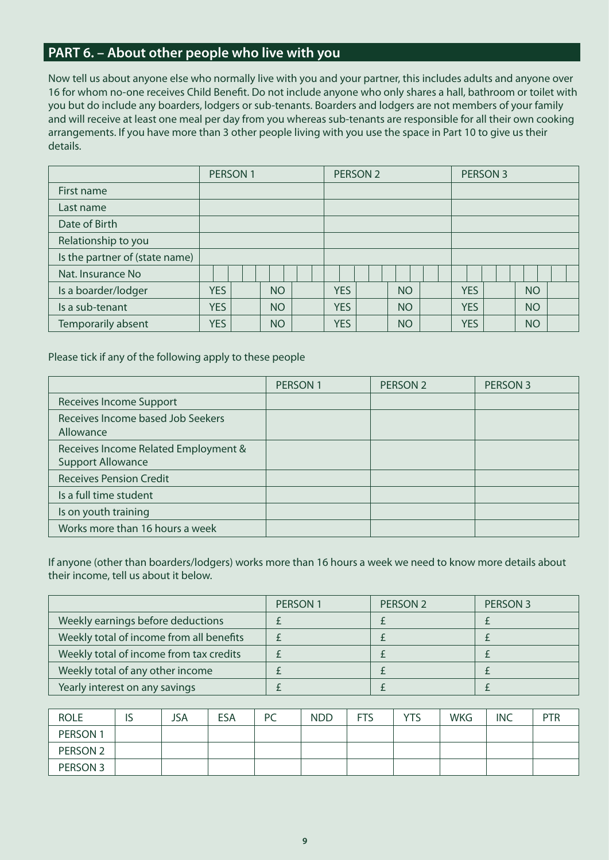# **PART 6. – About other people who live with you**

Now tell us about anyone else who normally live with you and your partner, this includes adults and anyone over 16 for whom no-one receives Child Benefit. Do not include anyone who only shares a hall, bathroom or toilet with you but do include any boarders, lodgers or sub-tenants. Boarders and lodgers are not members of your family and will receive at least one meal per day from you whereas sub-tenants are responsible for all their own cooking arrangements. If you have more than 3 other people living with you use the space in Part 10 to give us their details.

|                                | PERSON 1   |  |           | PERSON <sub>2</sub> |            |  | PERSON 3  |  |            |  |           |  |
|--------------------------------|------------|--|-----------|---------------------|------------|--|-----------|--|------------|--|-----------|--|
| First name                     |            |  |           |                     |            |  |           |  |            |  |           |  |
| Last name                      |            |  |           |                     |            |  |           |  |            |  |           |  |
| Date of Birth                  |            |  |           |                     |            |  |           |  |            |  |           |  |
| Relationship to you            |            |  |           |                     |            |  |           |  |            |  |           |  |
| Is the partner of (state name) |            |  |           |                     |            |  |           |  |            |  |           |  |
| Nat. Insurance No              |            |  |           |                     |            |  |           |  |            |  |           |  |
| Is a boarder/lodger            | <b>YES</b> |  | NO.       |                     | <b>YES</b> |  | <b>NO</b> |  | <b>YES</b> |  | <b>NO</b> |  |
| Is a sub-tenant                | <b>YES</b> |  | <b>NO</b> |                     | <b>YES</b> |  | <b>NO</b> |  | <b>YES</b> |  | <b>NO</b> |  |
| Temporarily absent             | <b>YES</b> |  | <b>NO</b> |                     | <b>YES</b> |  | <b>NO</b> |  | <b>YES</b> |  | <b>NO</b> |  |

Please tick if any of the following apply to these people

|                                                                  | <b>PERSON1</b> | PERSON <sub>2</sub> | PERSON 3 |
|------------------------------------------------------------------|----------------|---------------------|----------|
| Receives Income Support                                          |                |                     |          |
| Receives Income based Job Seekers<br>Allowance                   |                |                     |          |
| Receives Income Related Employment &<br><b>Support Allowance</b> |                |                     |          |
| <b>Receives Pension Credit</b>                                   |                |                     |          |
| Is a full time student                                           |                |                     |          |
| Is on youth training                                             |                |                     |          |
| Works more than 16 hours a week                                  |                |                     |          |

If anyone (other than boarders/lodgers) works more than 16 hours a week we need to know more details about their income, tell us about it below.

|                                          | <b>PERSON 1</b> | PERSON <sub>2</sub> | PERSON 3 |
|------------------------------------------|-----------------|---------------------|----------|
| Weekly earnings before deductions        |                 |                     |          |
| Weekly total of income from all benefits |                 |                     |          |
| Weekly total of income from tax credits  |                 |                     |          |
| Weekly total of any other income         |                 |                     |          |
| Yearly interest on any savings           |                 |                     |          |

| <b>ROLE</b>         | IJ | <b>JSA</b> | <b>ESA</b> | <b>PC</b> | <b>NDD</b> | <b>FTS</b> | YTS | <b>WKG</b> | <b>INC</b> | PTR |
|---------------------|----|------------|------------|-----------|------------|------------|-----|------------|------------|-----|
| PERSON 1            |    |            |            |           |            |            |     |            |            |     |
| PERSON <sub>2</sub> |    |            |            |           |            |            |     |            |            |     |
| PERSON 3            |    |            |            |           |            |            |     |            |            |     |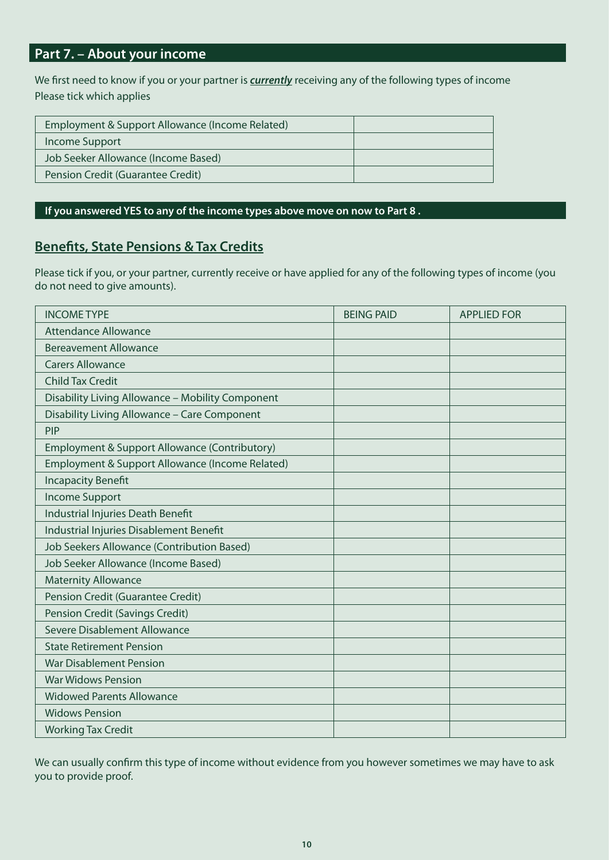# **Part 7. – About your income**

We first need to know if you or your partner is *currently* receiving any of the following types of income Please tick which applies

| Employment & Support Allowance (Income Related) |  |
|-------------------------------------------------|--|
| Income Support                                  |  |
| Job Seeker Allowance (Income Based)             |  |
| Pension Credit (Guarantee Credit)               |  |
|                                                 |  |

#### **If you answered YES to any of the income types above move on now to Part 8 .**

# **Benefits, State Pensions & Tax Credits**

Please tick if you, or your partner, currently receive or have applied for any of the following types of income (you do not need to give amounts).

| <b>INCOME TYPE</b>                               | <b>BEING PAID</b> | <b>APPLIED FOR</b> |
|--------------------------------------------------|-------------------|--------------------|
| <b>Attendance Allowance</b>                      |                   |                    |
| <b>Bereavement Allowance</b>                     |                   |                    |
| <b>Carers Allowance</b>                          |                   |                    |
| <b>Child Tax Credit</b>                          |                   |                    |
| Disability Living Allowance - Mobility Component |                   |                    |
| Disability Living Allowance - Care Component     |                   |                    |
| <b>PIP</b>                                       |                   |                    |
| Employment & Support Allowance (Contributory)    |                   |                    |
| Employment & Support Allowance (Income Related)  |                   |                    |
| <b>Incapacity Benefit</b>                        |                   |                    |
| <b>Income Support</b>                            |                   |                    |
| Industrial Injuries Death Benefit                |                   |                    |
| Industrial Injuries Disablement Benefit          |                   |                    |
| Job Seekers Allowance (Contribution Based)       |                   |                    |
| Job Seeker Allowance (Income Based)              |                   |                    |
| <b>Maternity Allowance</b>                       |                   |                    |
| Pension Credit (Guarantee Credit)                |                   |                    |
| Pension Credit (Savings Credit)                  |                   |                    |
| Severe Disablement Allowance                     |                   |                    |
| <b>State Retirement Pension</b>                  |                   |                    |
| <b>War Disablement Pension</b>                   |                   |                    |
| <b>War Widows Pension</b>                        |                   |                    |
| <b>Widowed Parents Allowance</b>                 |                   |                    |
| <b>Widows Pension</b>                            |                   |                    |
| <b>Working Tax Credit</b>                        |                   |                    |

We can usually confirm this type of income without evidence from you however sometimes we may have to ask you to provide proof.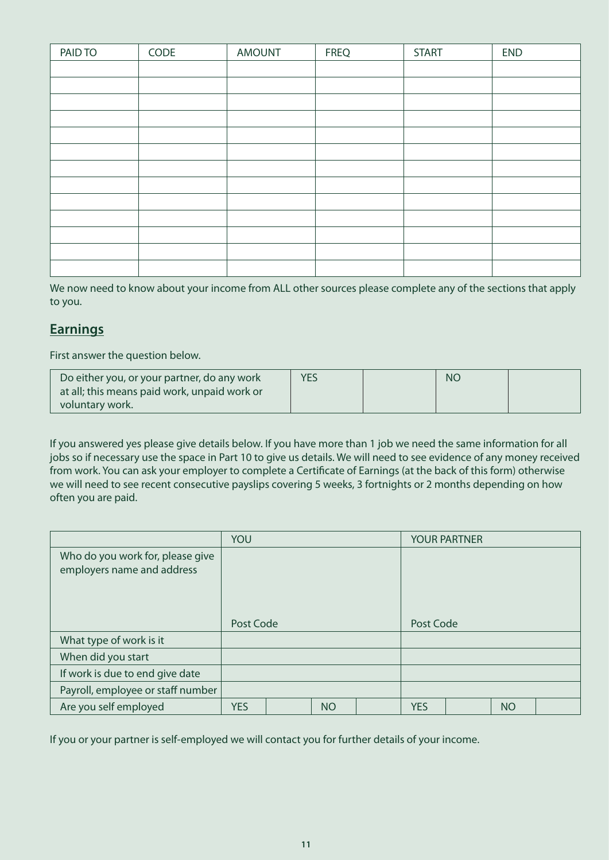| PAID TO | CODE | <b>AMOUNT</b> | <b>FREQ</b> | <b>START</b> | <b>END</b> |
|---------|------|---------------|-------------|--------------|------------|
|         |      |               |             |              |            |
|         |      |               |             |              |            |
|         |      |               |             |              |            |
|         |      |               |             |              |            |
|         |      |               |             |              |            |
|         |      |               |             |              |            |
|         |      |               |             |              |            |
|         |      |               |             |              |            |
|         |      |               |             |              |            |
|         |      |               |             |              |            |
|         |      |               |             |              |            |
|         |      |               |             |              |            |
|         |      |               |             |              |            |

We now need to know about your income from ALL other sources please complete any of the sections that apply to you.

# **Earnings**

First answer the question below.

| Do either you, or your partner, do any work  | <b>YES</b> | <b>NC</b> |  |
|----------------------------------------------|------------|-----------|--|
| at all; this means paid work, unpaid work or |            |           |  |
| voluntary work.                              |            |           |  |

If you answered yes please give details below. If you have more than 1 job we need the same information for all jobs so if necessary use the space in Part 10 to give us details. We will need to see evidence of any money received from work. You can ask your employer to complete a Certificate of Earnings (at the back of this form) otherwise we will need to see recent consecutive payslips covering 5 weeks, 3 fortnights or 2 months depending on how often you are paid.

|                                                                | YOU        |  |           | <b>YOUR PARTNER</b> |            |  |           |  |
|----------------------------------------------------------------|------------|--|-----------|---------------------|------------|--|-----------|--|
| Who do you work for, please give<br>employers name and address |            |  |           |                     |            |  |           |  |
|                                                                | Post Code  |  |           |                     | Post Code  |  |           |  |
| What type of work is it                                        |            |  |           |                     |            |  |           |  |
| When did you start                                             |            |  |           |                     |            |  |           |  |
| If work is due to end give date                                |            |  |           |                     |            |  |           |  |
| Payroll, employee or staff number                              |            |  |           |                     |            |  |           |  |
| Are you self employed                                          | <b>YES</b> |  | <b>NO</b> |                     | <b>YES</b> |  | <b>NO</b> |  |

If you or your partner is self-employed we will contact you for further details of your income.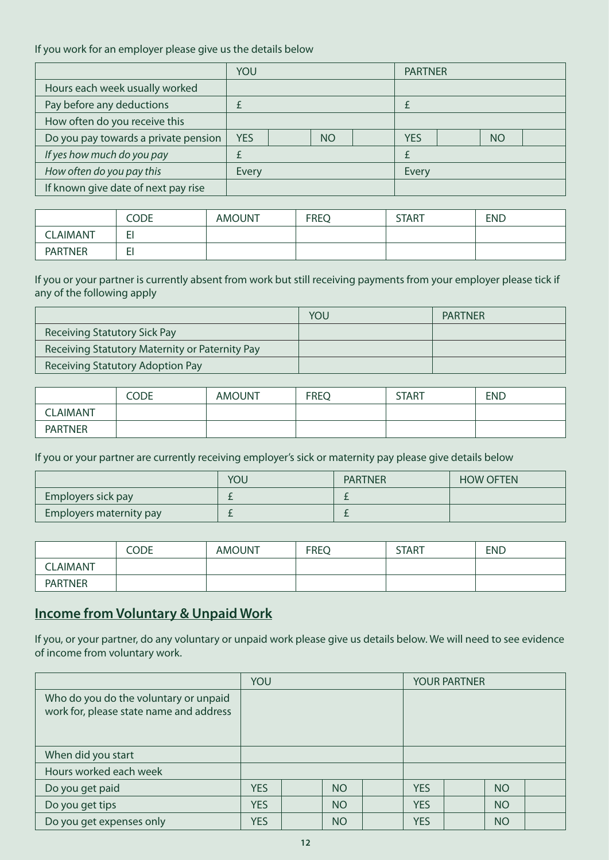#### If you work for an employer please give us the details below

|                                      | YOU        |  |           | <b>PARTNER</b> |       |  |           |  |
|--------------------------------------|------------|--|-----------|----------------|-------|--|-----------|--|
| Hours each week usually worked       |            |  |           |                |       |  |           |  |
| Pay before any deductions            |            |  |           |                |       |  |           |  |
| How often do you receive this        |            |  |           |                |       |  |           |  |
| Do you pay towards a private pension | <b>YES</b> |  | <b>NO</b> |                | YES   |  | <b>NO</b> |  |
| If yes how much do you pay           |            |  |           |                |       |  |           |  |
| How often do you pay this            | Every      |  |           |                | Every |  |           |  |
| If known give date of next pay rise  |            |  |           |                |       |  |           |  |

|                 | <b>CODE</b> | <b>AMOUNT</b> | <b>FREQ</b> | <b>START</b> | <b>END</b> |
|-----------------|-------------|---------------|-------------|--------------|------------|
| <b>CLAIMANT</b> | -<br>--     |               |             |              |            |
| <b>PARTNER</b>  | -<br>--     |               |             |              |            |

If you or your partner is currently absent from work but still receiving payments from your employer please tick if any of the following apply

|                                                | YOU | <b>PARTNER</b> |
|------------------------------------------------|-----|----------------|
| Receiving Statutory Sick Pay                   |     |                |
| Receiving Statutory Maternity or Paternity Pay |     |                |
| Receiving Statutory Adoption Pay               |     |                |

|                | CODE | <b>AMOUNT</b> | <b>FREQ</b> | <b>START</b> | <b>END</b> |
|----------------|------|---------------|-------------|--------------|------------|
| <b>LAIMANT</b> |      |               |             |              |            |
| <b>PARTNER</b> |      |               |             |              |            |

If you or your partner are currently receiving employer's sick or maternity pay please give details below

|                         | YOU | <b>PARTNER</b> | <b>HOW OFTEN</b> |
|-------------------------|-----|----------------|------------------|
| Employers sick pay      |     |                |                  |
| Employers maternity pay |     |                |                  |

|                | Code | <b>AMOUNT</b> | <b>FREQ</b> | <b>START</b> | <b>END</b> |
|----------------|------|---------------|-------------|--------------|------------|
| LAIMANT        |      |               |             |              |            |
| <b>PARTNER</b> |      |               |             |              |            |

# **Income from Voluntary & Unpaid Work**

If you, or your partner, do any voluntary or unpaid work please give us details below. We will need to see evidence of income from voluntary work.

|                                                                                  | YOU        |           |            | <b>YOUR PARTNER</b> |           |  |
|----------------------------------------------------------------------------------|------------|-----------|------------|---------------------|-----------|--|
| Who do you do the voluntary or unpaid<br>work for, please state name and address |            |           |            |                     |           |  |
| When did you start                                                               |            |           |            |                     |           |  |
| Hours worked each week                                                           |            |           |            |                     |           |  |
| Do you get paid                                                                  | <b>YES</b> | <b>NO</b> | <b>YES</b> |                     | <b>NO</b> |  |
| Do you get tips                                                                  | <b>YES</b> | <b>NO</b> | <b>YES</b> |                     | <b>NO</b> |  |
| Do you get expenses only                                                         | <b>YES</b> | <b>NO</b> | <b>YES</b> |                     | <b>NO</b> |  |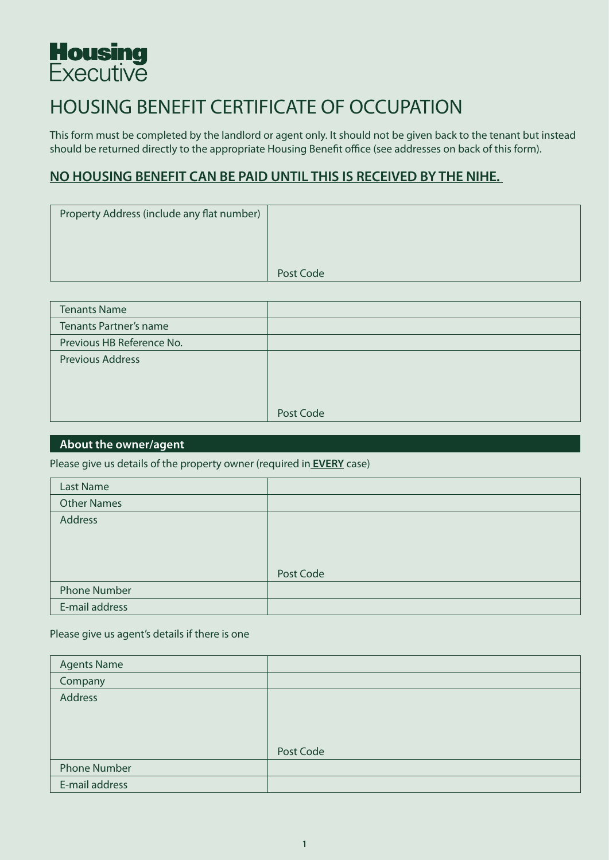

# HOUSING BENEFIT CERTIFICATE OF OCCUPATION

This form must be completed by the landlord or agent only. It should not be given back to the tenant but instead should be returned directly to the appropriate Housing Benefit office (see addresses on back of this form).

# **NO HOUSING BENEFIT CAN BE PAID UNTIL THIS IS RECEIVED BY THE NIHE.**

| Property Address (include any flat number) |           |
|--------------------------------------------|-----------|
|                                            |           |
|                                            |           |
|                                            | Post Code |

| <b>Tenants Name</b>           |           |
|-------------------------------|-----------|
| <b>Tenants Partner's name</b> |           |
| Previous HB Reference No.     |           |
| <b>Previous Address</b>       |           |
|                               |           |
|                               |           |
|                               | Post Code |

#### **About the owner/agent**

Please give us details of the property owner (required in **EVERY** case)

| <b>Last Name</b>    |           |
|---------------------|-----------|
| <b>Other Names</b>  |           |
| <b>Address</b>      |           |
|                     |           |
|                     |           |
|                     | Post Code |
| <b>Phone Number</b> |           |
| E-mail address      |           |

Please give us agent's details if there is one

| <b>Agents Name</b>  |           |
|---------------------|-----------|
| Company             |           |
| Address             |           |
|                     |           |
|                     |           |
|                     | Post Code |
| <b>Phone Number</b> |           |
| E-mail address      |           |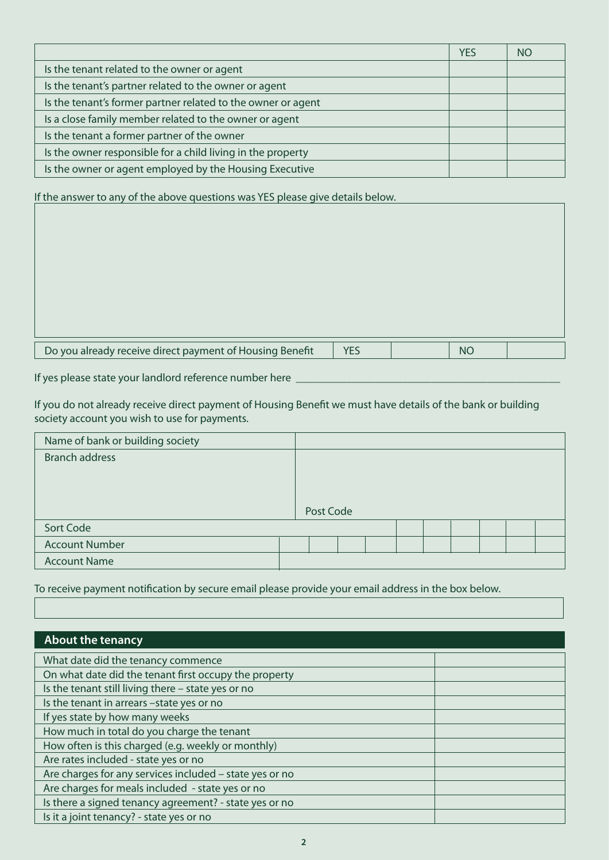|                                                              | <b>YES</b> | NO. |
|--------------------------------------------------------------|------------|-----|
| Is the tenant related to the owner or agent                  |            |     |
| Is the tenant's partner related to the owner or agent        |            |     |
| Is the tenant's former partner related to the owner or agent |            |     |
| Is a close family member related to the owner or agent       |            |     |
| Is the tenant a former partner of the owner                  |            |     |
| Is the owner responsible for a child living in the property  |            |     |
| Is the owner or agent employed by the Housing Executive      |            |     |

If the answer to any of the above questions was YES please give details below.

| Do you already receive direct payment of Housing Benefit | N <sub>0</sub> |  |
|----------------------------------------------------------|----------------|--|

If yes please state your landlord reference number here \_

If you do not already receive direct payment of Housing Benefit we must have details of the bank or building society account you wish to use for payments.

| Name of bank or building society |           |  |  |  |  |
|----------------------------------|-----------|--|--|--|--|
| <b>Branch address</b>            |           |  |  |  |  |
|                                  |           |  |  |  |  |
|                                  |           |  |  |  |  |
|                                  |           |  |  |  |  |
|                                  | Post Code |  |  |  |  |
| Sort Code                        |           |  |  |  |  |
| <b>Account Number</b>            |           |  |  |  |  |
| <b>Account Name</b>              |           |  |  |  |  |

To receive payment notification by secure email please provide your email address in the box below.

| About the tenancy                                       |  |
|---------------------------------------------------------|--|
| What date did the tenancy commence                      |  |
| On what date did the tenant first occupy the property   |  |
| Is the tenant still living there - state yes or no      |  |
| Is the tenant in arrears -state yes or no               |  |
| If yes state by how many weeks                          |  |
| How much in total do you charge the tenant              |  |
| How often is this charged (e.g. weekly or monthly)      |  |
| Are rates included - state yes or no                    |  |
| Are charges for any services included - state yes or no |  |
| Are charges for meals included - state yes or no        |  |
| Is there a signed tenancy agreement? - state yes or no  |  |
| Is it a joint tenancy? - state yes or no                |  |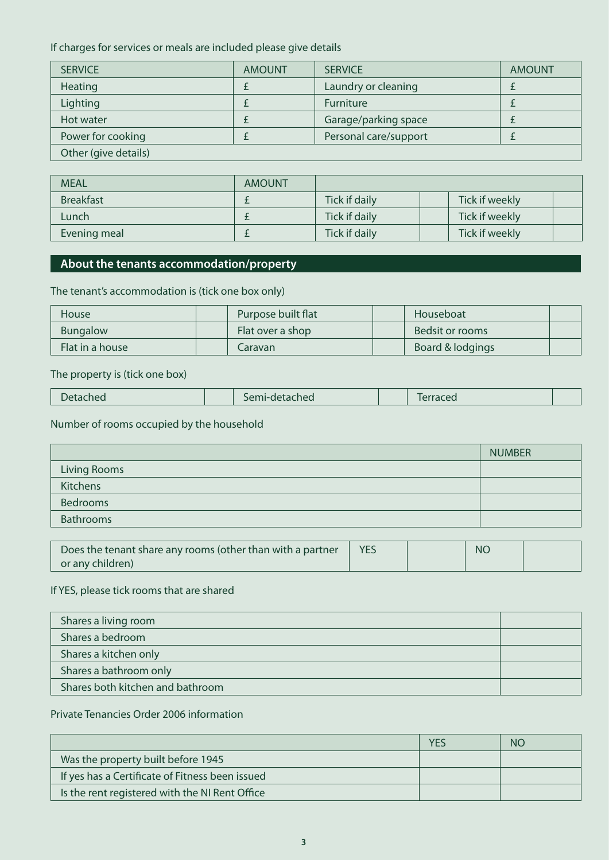If charges for services or meals are included please give details

| <b>SERVICE</b>       | <b>AMOUNT</b> | <b>SERVICE</b>        | <b>AMOUNT</b> |
|----------------------|---------------|-----------------------|---------------|
| Heating              |               | Laundry or cleaning   |               |
| Lighting             |               | Furniture             |               |
| Hot water            |               | Garage/parking space  |               |
| Power for cooking    |               | Personal care/support |               |
| Other (give details) |               |                       |               |

| <b>MEAL</b>      | <b>AMOUNT</b> |               |                |  |
|------------------|---------------|---------------|----------------|--|
| <b>Breakfast</b> |               | Tick if daily | Tick if weekly |  |
| Lunch            |               | Tick if daily | Tick if weekly |  |
| Evening meal     |               | Tick if daily | Tick if weekly |  |

## **About the tenants accommodation/property**

#### The tenant's accommodation is (tick one box only)

| <b>House</b>    | Purpose built flat | Houseboat        |  |
|-----------------|--------------------|------------------|--|
| Bungalow        | Flat over a shop   | Bedsit or rooms  |  |
| Flat in a house | Caravan            | Board & lodgings |  |

#### The property is (tick one box)

| Detached | Semi-detached |  | lerraced |  |
|----------|---------------|--|----------|--|
|----------|---------------|--|----------|--|

# Number of rooms occupied by the household

|                  | <b>NUMBER</b> |
|------------------|---------------|
| Living Rooms     |               |
| Kitchens         |               |
| <b>Bedrooms</b>  |               |
| <b>Bathrooms</b> |               |

| Does the tenant share any rooms (other than with a partner |  | <b>NC</b> |  |
|------------------------------------------------------------|--|-----------|--|
| or any children)                                           |  |           |  |

#### If YES, please tick rooms that are shared

| Shares a living room             |  |
|----------------------------------|--|
| Shares a bedroom                 |  |
| Shares a kitchen only            |  |
| Shares a bathroom only           |  |
| Shares both kitchen and bathroom |  |

#### Private Tenancies Order 2006 information

|                                                 | NO |
|-------------------------------------------------|----|
| Was the property built before 1945              |    |
| If yes has a Certificate of Fitness been issued |    |
| Is the rent registered with the NI Rent Office  |    |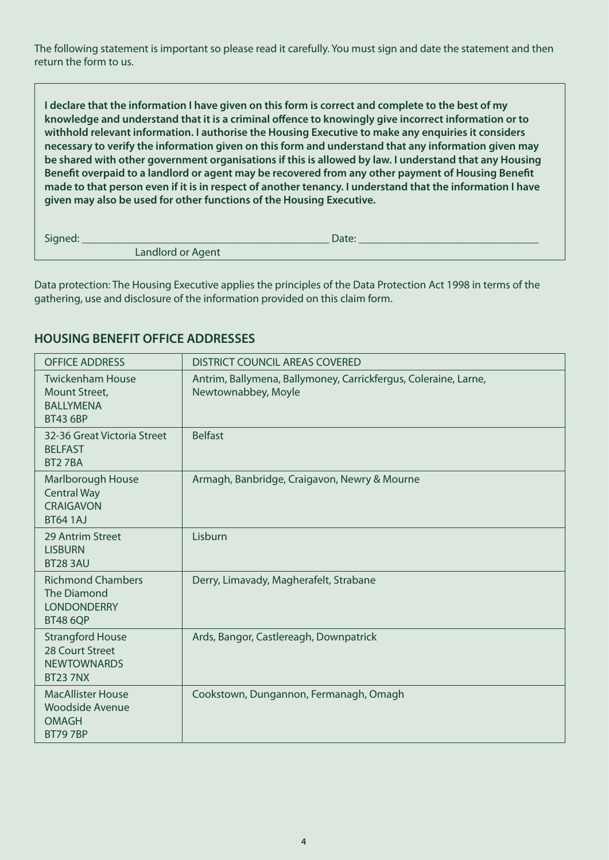The following statement is important so please read it carefully. You must sign and date the statement and then return the form to us.

**I declare that the information I have given on this form is correct and complete to the best of my knowledge and understand that it is a criminal offence to knowingly give incorrect information or to withhold relevant information. I authorise the Housing Executive to make any enquiries it considers necessary to verify the information given on this form and understand that any information given may be shared with other government organisations if this is allowed by law. I understand that any Housing Benefit overpaid to a landlord or agent may be recovered from any other payment of Housing Benefit made to that person even if it is in respect of another tenancy. I understand that the information I have given may also be used for other functions of the Housing Executive.**

Signed: \_\_\_\_\_\_\_\_\_\_\_\_\_\_\_\_\_\_\_\_\_\_\_\_\_\_\_\_\_\_\_\_\_\_\_\_\_\_\_\_\_\_\_\_ Date: \_\_\_\_\_\_\_\_\_\_\_\_\_\_\_\_\_\_\_\_\_\_\_\_\_\_\_\_\_\_\_\_

Landlord or Agent

Data protection: The Housing Executive applies the principles of the Data Protection Act 1998 in terms of the gathering, use and disclosure of the information provided on this claim form.

# **HOUSING BENEFIT OFFICE ADDRESSES**

| <b>OFFICE ADDRESS</b>                                                                   | <b>DISTRICT COUNCIL AREAS COVERED</b>                                                  |
|-----------------------------------------------------------------------------------------|----------------------------------------------------------------------------------------|
| <b>Twickenham House</b><br>Mount Street,<br><b>BALLYMENA</b><br><b>BT43 6BP</b>         | Antrim, Ballymena, Ballymoney, Carrickfergus, Coleraine, Larne,<br>Newtownabbey, Moyle |
| 32-36 Great Victoria Street<br><b>BELFAST</b><br>BT27BA                                 | <b>Belfast</b>                                                                         |
| Marlborough House<br><b>Central Way</b><br><b>CRAIGAVON</b><br><b>BT64 1AJ</b>          | Armagh, Banbridge, Craigavon, Newry & Mourne                                           |
| 29 Antrim Street<br><b>LISBURN</b><br><b>BT28 3AU</b>                                   | Lisburn                                                                                |
| <b>Richmond Chambers</b><br><b>The Diamond</b><br><b>LONDONDERRY</b><br><b>BT48 6QP</b> | Derry, Limavady, Magherafelt, Strabane                                                 |
| <b>Strangford House</b><br>28 Court Street<br><b>NEWTOWNARDS</b><br><b>BT237NX</b>      | Ards, Bangor, Castlereagh, Downpatrick                                                 |
| <b>MacAllister House</b><br>Woodside Avenue<br><b>OMAGH</b><br><b>BT797BP</b>           | Cookstown, Dungannon, Fermanagh, Omagh                                                 |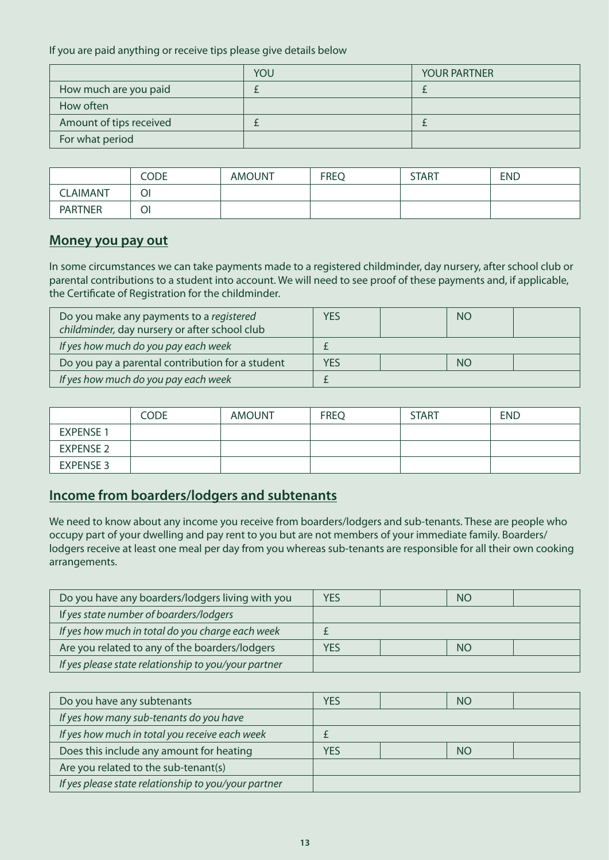If you are paid anything or receive tips please give details below

|                         | YOU | <b>YOUR PARTNER</b> |
|-------------------------|-----|---------------------|
| How much are you paid   |     |                     |
| How often               |     |                     |
| Amount of tips received |     |                     |
| For what period         |     |                     |

|                 | CODE | <b>AMOUNT</b> | <b>FREQ</b> | <b>START</b> | <b>END</b> |
|-----------------|------|---------------|-------------|--------------|------------|
| <b>CLAIMANT</b> | Οl   |               |             |              |            |
| <b>PARTNER</b>  | Ol   |               |             |              |            |

#### **Money you pay out**

In some circumstances we can take payments made to a registered childminder, day nursery, after school club or parental contributions to a student into account. We will need to see proof of these payments and, if applicable, the Certificate of Registration for the childminder.

| Do you make any payments to a registered<br>childminder, day nursery or after school club | YES        | NO        |  |
|-------------------------------------------------------------------------------------------|------------|-----------|--|
| If yes how much do you pay each week                                                      |            |           |  |
| Do you pay a parental contribution for a student                                          | <b>YES</b> | <b>NO</b> |  |
| If yes how much do you pay each week                                                      |            |           |  |

|                  | <b>CODE</b> | <b>AMOUNT</b> | <b>FREQ</b> | <b>START</b> | <b>END</b> |
|------------------|-------------|---------------|-------------|--------------|------------|
| <b>EXPENSE 1</b> |             |               |             |              |            |
| <b>EXPENSE 2</b> |             |               |             |              |            |
| <b>EXPENSE 3</b> |             |               |             |              |            |

# **Income from boarders/lodgers and subtenants**

We need to know about any income you receive from boarders/lodgers and sub-tenants. These are people who occupy part of your dwelling and pay rent to you but are not members of your immediate family. Boarders/ lodgers receive at least one meal per day from you whereas sub-tenants are responsible for all their own cooking arrangements.

| Do you have any boarders/lodgers living with you     | YES | NO        |  |
|------------------------------------------------------|-----|-----------|--|
| If yes state number of boarders/lodgers              |     |           |  |
| If yes how much in total do you charge each week     |     |           |  |
| Are you related to any of the boarders/lodgers       | YES | <b>NO</b> |  |
| If yes please state relationship to you/your partner |     |           |  |

| Do you have any subtenants                           | YES              |  | NO |  |
|------------------------------------------------------|------------------|--|----|--|
| If yes how many sub-tenants do you have              |                  |  |    |  |
| If yes how much in total you receive each week       |                  |  |    |  |
| Does this include any amount for heating             | <b>YES</b><br>NO |  |    |  |
| Are you related to the sub-tenant(s)                 |                  |  |    |  |
| If yes please state relationship to you/your partner |                  |  |    |  |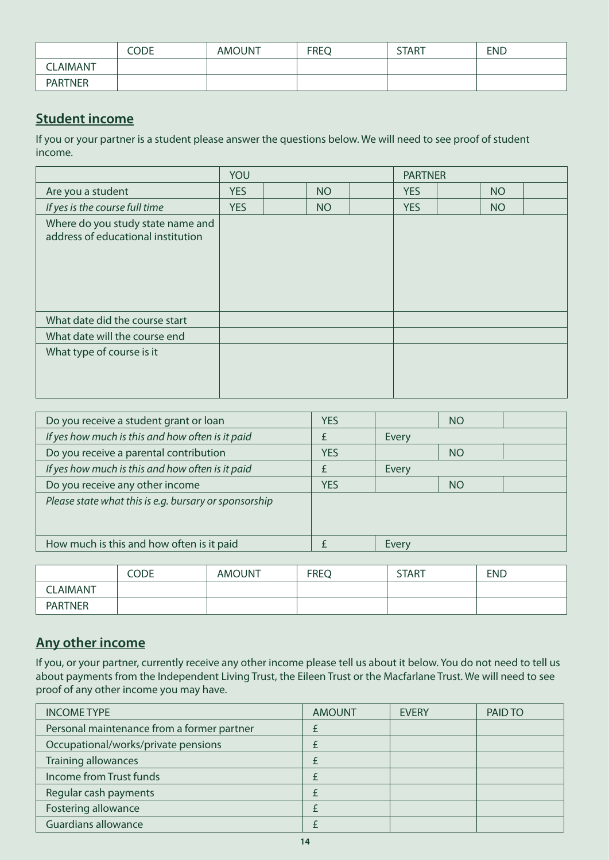|                | <b>CODE</b> | <b>AMOUNT</b> | <b>FREQ</b> | <b>START</b> | <b>END</b> |
|----------------|-------------|---------------|-------------|--------------|------------|
| <b>LAIMANT</b> |             |               |             |              |            |
| <b>PARTNER</b> |             |               |             |              |            |

# **Student income**

If you or your partner is a student please answer the questions below. We will need to see proof of student income.

|                                                                         | YOU        |  |           | <b>PARTNER</b> |            |  |           |  |
|-------------------------------------------------------------------------|------------|--|-----------|----------------|------------|--|-----------|--|
| Are you a student                                                       | <b>YES</b> |  | <b>NO</b> |                | <b>YES</b> |  | <b>NO</b> |  |
| If yes is the course full time                                          | <b>YES</b> |  | <b>NO</b> |                | <b>YES</b> |  | <b>NO</b> |  |
| Where do you study state name and<br>address of educational institution |            |  |           |                |            |  |           |  |
| What date did the course start                                          |            |  |           |                |            |  |           |  |
| What date will the course end                                           |            |  |           |                |            |  |           |  |
| What type of course is it                                               |            |  |           |                |            |  |           |  |

| <b>YES</b> |       | <b>NO</b> |  |
|------------|-------|-----------|--|
|            | Every |           |  |
| <b>YES</b> |       | <b>NO</b> |  |
|            | Every |           |  |
| <b>YES</b> |       | <b>NO</b> |  |
|            |       |           |  |
|            |       |           |  |
|            |       |           |  |
|            | Every |           |  |
|            |       |           |  |

|                 | CODE | <b>AMOUNT</b> | <b>FREQ</b> | <b>START</b> | <b>END</b> |
|-----------------|------|---------------|-------------|--------------|------------|
| <b>CLAIMANT</b> |      |               |             |              |            |
| <b>PARTNER</b>  |      |               |             |              |            |

# **Any other income**

If you, or your partner, currently receive any other income please tell us about it below. You do not need to tell us about payments from the Independent Living Trust, the Eileen Trust or the Macfarlane Trust. We will need to see proof of any other income you may have.

| <b>INCOME TYPE</b>                         | <b>AMOUNT</b> | <b>EVERY</b> | PAID TO |
|--------------------------------------------|---------------|--------------|---------|
| Personal maintenance from a former partner |               |              |         |
| Occupational/works/private pensions        |               |              |         |
| <b>Training allowances</b>                 |               |              |         |
| Income from Trust funds                    |               |              |         |
| Regular cash payments                      |               |              |         |
| Fostering allowance                        |               |              |         |
| <b>Guardians allowance</b>                 |               |              |         |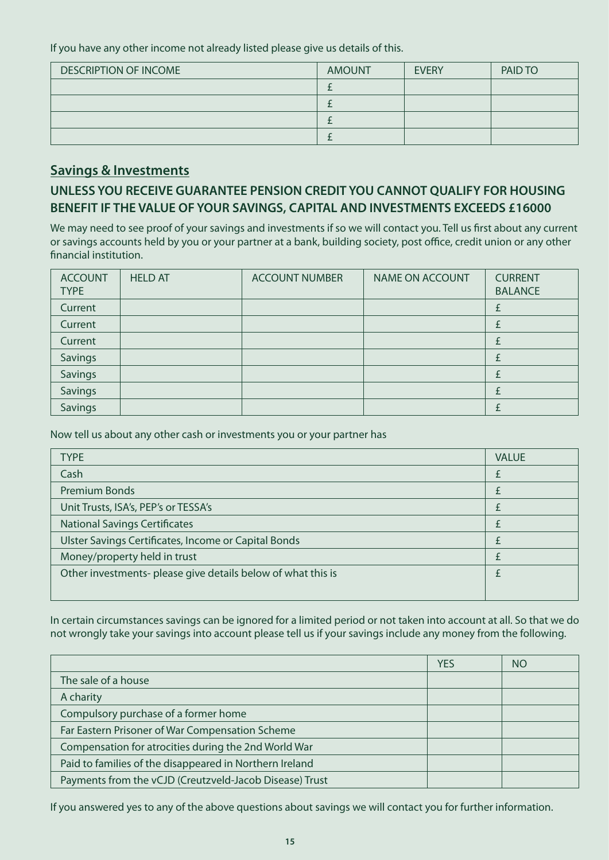If you have any other income not already listed please give us details of this.

| <b>DESCRIPTION OF INCOME</b> | <b>AMOUNT</b> | <b>EVERY</b> | PAID TO |
|------------------------------|---------------|--------------|---------|
|                              |               |              |         |
|                              |               |              |         |
|                              |               |              |         |
|                              |               |              |         |

## **Savings & Investments**

# **UNLESS YOU RECEIVE GUARANTEE PENSION CREDIT YOU CANNOT QUALIFY FOR HOUSING BENEFIT IF THE VALUE OF YOUR SAVINGS, CAPITAL AND INVESTMENTS EXCEEDS £16000**

We may need to see proof of your savings and investments if so we will contact you. Tell us first about any current or savings accounts held by you or your partner at a bank, building society, post office, credit union or any other financial institution.

| <b>ACCOUNT</b><br><b>TYPE</b> | <b>HELD AT</b> | <b>ACCOUNT NUMBER</b> | <b>NAME ON ACCOUNT</b> | <b>CURRENT</b><br><b>BALANCE</b> |
|-------------------------------|----------------|-----------------------|------------------------|----------------------------------|
| Current                       |                |                       |                        |                                  |
| Current                       |                |                       |                        |                                  |
| Current                       |                |                       |                        |                                  |
| Savings                       |                |                       |                        |                                  |
| Savings                       |                |                       |                        |                                  |
| Savings                       |                |                       |                        |                                  |
| <b>Savings</b>                |                |                       |                        |                                  |

Now tell us about any other cash or investments you or your partner has

| <b>TYPE</b>                                                  | <b>VALUE</b> |
|--------------------------------------------------------------|--------------|
| Cash                                                         |              |
| <b>Premium Bonds</b>                                         |              |
| Unit Trusts, ISA's, PEP's or TESSA's                         |              |
| <b>National Savings Certificates</b>                         |              |
| Ulster Savings Certificates, Income or Capital Bonds         |              |
| Money/property held in trust                                 |              |
| Other investments- please give details below of what this is |              |
|                                                              |              |

In certain circumstances savings can be ignored for a limited period or not taken into account at all. So that we do not wrongly take your savings into account please tell us if your savings include any money from the following.

|                                                         | <b>YES</b> | NO |
|---------------------------------------------------------|------------|----|
| The sale of a house                                     |            |    |
| A charity                                               |            |    |
| Compulsory purchase of a former home                    |            |    |
| Far Eastern Prisoner of War Compensation Scheme         |            |    |
| Compensation for atrocities during the 2nd World War    |            |    |
| Paid to families of the disappeared in Northern Ireland |            |    |
| Payments from the vCJD (Creutzveld-Jacob Disease) Trust |            |    |

If you answered yes to any of the above questions about savings we will contact you for further information.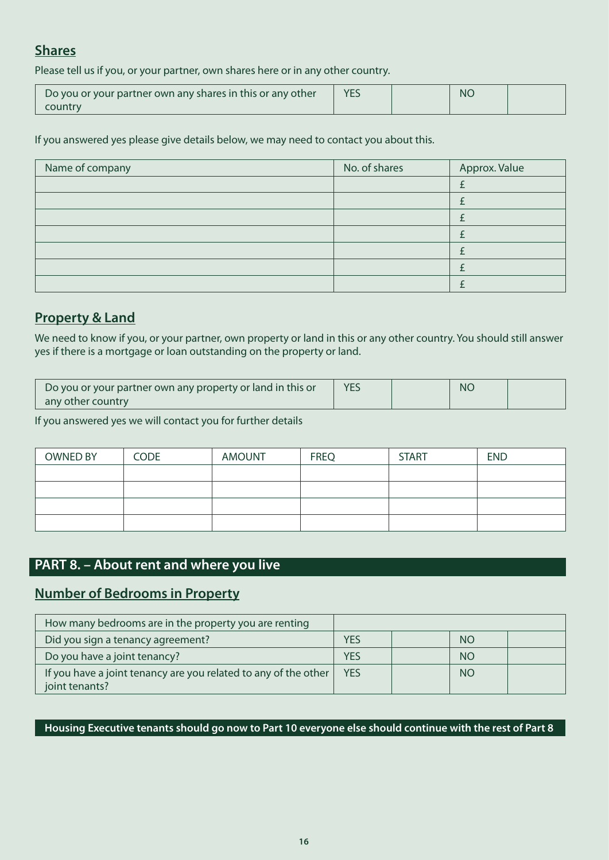# **Shares**

Please tell us if you, or your partner, own shares here or in any other country.

| $\setminus$ Do you or your partner own any shares in this or any other $\setminus$ |  | <b>NC</b> |  |
|------------------------------------------------------------------------------------|--|-----------|--|
| country                                                                            |  |           |  |

#### If you answered yes please give details below, we may need to contact you about this.

| Name of company | No. of shares | Approx. Value |
|-----------------|---------------|---------------|
|                 |               |               |
|                 |               |               |
|                 |               |               |
|                 |               |               |
|                 |               |               |
|                 |               |               |
|                 |               |               |

# **Property & Land**

We need to know if you, or your partner, own property or land in this or any other country. You should still answer yes if there is a mortgage or loan outstanding on the property or land.

| Do you or your partner own any property or land in this or | <b>YES</b> | <b>NC</b> |  |
|------------------------------------------------------------|------------|-----------|--|
| any other country                                          |            |           |  |

If you answered yes we will contact you for further details

| <b>OWNED BY</b> | <b>CODE</b> | <b>AMOUNT</b> | <b>FREQ</b> | <b>START</b> | <b>END</b> |
|-----------------|-------------|---------------|-------------|--------------|------------|
|                 |             |               |             |              |            |
|                 |             |               |             |              |            |
|                 |             |               |             |              |            |
|                 |             |               |             |              |            |

# **PART 8. – About rent and where you live**

# **Number of Bedrooms in Property**

| How many bedrooms are in the property you are renting                             |            |           |  |
|-----------------------------------------------------------------------------------|------------|-----------|--|
| Did you sign a tenancy agreement?                                                 | <b>YES</b> | <b>NO</b> |  |
| Do you have a joint tenancy?                                                      | YES        | <b>NO</b> |  |
| If you have a joint tenancy are you related to any of the other<br>joint tenants? | <b>YES</b> | <b>NO</b> |  |

**Housing Executive tenants should go now to Part 10 everyone else should continue with the rest of Part 8**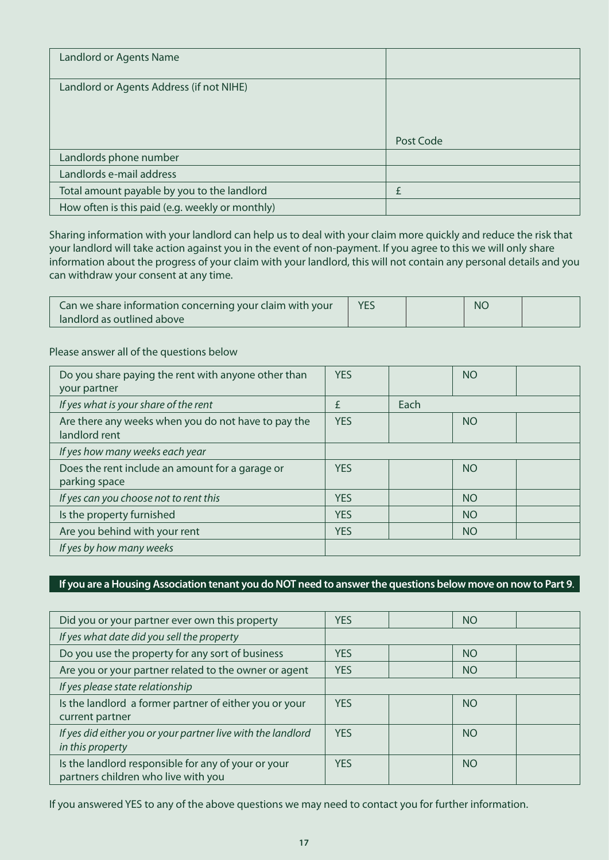| Landlord or Agents Name                         |           |
|-------------------------------------------------|-----------|
| Landlord or Agents Address (if not NIHE)        |           |
|                                                 |           |
|                                                 |           |
|                                                 | Post Code |
| Landlords phone number                          |           |
| Landlords e-mail address                        |           |
| Total amount payable by you to the landlord     |           |
| How often is this paid (e.g. weekly or monthly) |           |

Sharing information with your landlord can help us to deal with your claim more quickly and reduce the risk that your landlord will take action against you in the event of non-payment. If you agree to this we will only share information about the progress of your claim with your landlord, this will not contain any personal details and you can withdraw your consent at any time.

| Can we share information concerning your claim with your | <b>YES</b> | <b>NC</b> |  |
|----------------------------------------------------------|------------|-----------|--|
| landlord as outlined above                               |            |           |  |

#### Please answer all of the questions below

| Do you share paying the rent with anyone other than<br>your partner  | <b>YES</b> |      | <b>NO</b>       |  |
|----------------------------------------------------------------------|------------|------|-----------------|--|
| If yes what is your share of the rent                                | £          | Each |                 |  |
| Are there any weeks when you do not have to pay the<br>landlord rent | <b>YES</b> |      | <b>NO</b>       |  |
| If yes how many weeks each year                                      |            |      |                 |  |
| Does the rent include an amount for a garage or<br>parking space     | <b>YES</b> |      | <b>NO</b>       |  |
| If yes can you choose not to rent this                               | <b>YES</b> |      | <b>NO</b>       |  |
| Is the property furnished                                            | <b>YES</b> |      | NO <sub>1</sub> |  |
| Are you behind with your rent                                        | <b>YES</b> |      | <b>NO</b>       |  |
| If yes by how many weeks                                             |            |      |                 |  |

#### **If you are a Housing Association tenant you do NOT need to answer the questions below move on now to Part 9**.

| Did you or your partner ever own this property                                             | <b>YES</b> | <b>NO</b> |  |
|--------------------------------------------------------------------------------------------|------------|-----------|--|
| If yes what date did you sell the property                                                 |            |           |  |
| Do you use the property for any sort of business                                           | <b>YES</b> | <b>NO</b> |  |
| Are you or your partner related to the owner or agent                                      | <b>YES</b> | <b>NO</b> |  |
| If yes please state relationship                                                           |            |           |  |
| Is the landlord a former partner of either you or your<br>current partner                  | <b>YES</b> | <b>NO</b> |  |
| If yes did either you or your partner live with the landlord<br>in this property           | <b>YES</b> | <b>NO</b> |  |
| Is the landlord responsible for any of your or your<br>partners children who live with you | <b>YFS</b> | <b>NO</b> |  |

If you answered YES to any of the above questions we may need to contact you for further information.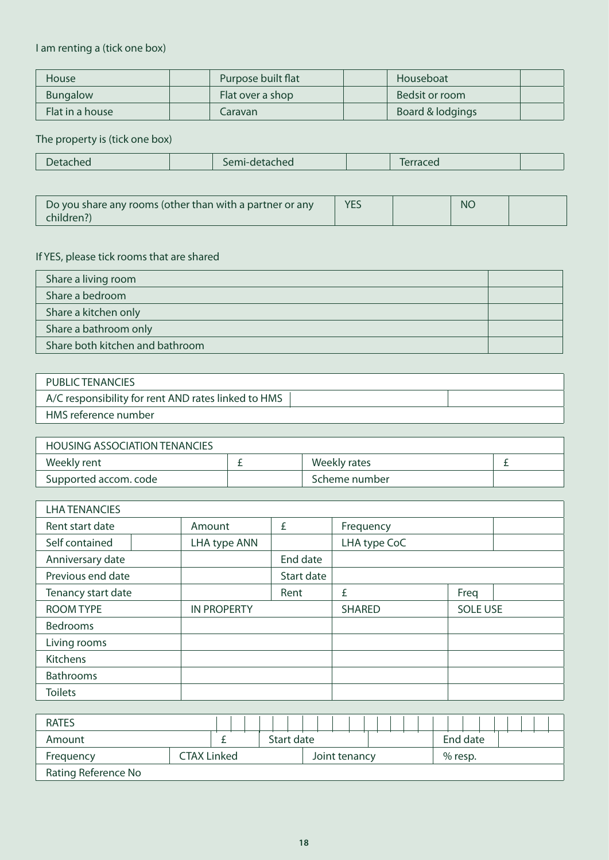#### I am renting a (tick one box)

| <b>House</b>    | Purpose built flat |  | Houseboat        |  |
|-----------------|--------------------|--|------------------|--|
| <b>Bungalow</b> | Flat over a shop   |  | Bedsit or room   |  |
| Flat in a house | Caravan            |  | Board & lodgings |  |

#### The property is (tick one box)

| <b>tached</b> | $\sim$ $\alpha$<br>etached | $\overline{a}$ |  |
|---------------|----------------------------|----------------|--|
|               |                            |                |  |

| Do you share any rooms (other than with a partner or any | <b>YES</b> | <b>NC</b> |  |
|----------------------------------------------------------|------------|-----------|--|
| children?)                                               |            |           |  |

# If YES, please tick rooms that are shared

| Share a living room             |  |
|---------------------------------|--|
| Share a bedroom                 |  |
| Share a kitchen only            |  |
| Share a bathroom only           |  |
| Share both kitchen and bathroom |  |

| PUBLIC TENANCIES                                    |  |
|-----------------------------------------------------|--|
| A/C responsibility for rent AND rates linked to HMS |  |
| HMS reference number                                |  |

| <b>HOUSING ASSOCIATION TENANCIES</b> |               |  |
|--------------------------------------|---------------|--|
| Weekly rent                          | Weekly rates  |  |
| Supported accom. code                | Scheme number |  |

| <b>LHA TENANCIES</b> |                    |            |               |                 |  |
|----------------------|--------------------|------------|---------------|-----------------|--|
| Rent start date      | Amount             | £          | Frequency     |                 |  |
| Self contained       | LHA type ANN       |            | LHA type CoC  |                 |  |
| Anniversary date     |                    | End date   |               |                 |  |
| Previous end date    |                    | Start date |               |                 |  |
| Tenancy start date   |                    | Rent       | £             | Freq            |  |
| <b>ROOM TYPE</b>     | <b>IN PROPERTY</b> |            | <b>SHARED</b> | <b>SOLE USE</b> |  |
| <b>Bedrooms</b>      |                    |            |               |                 |  |
| Living rooms         |                    |            |               |                 |  |
| <b>Kitchens</b>      |                    |            |               |                 |  |
| <b>Bathrooms</b>     |                    |            |               |                 |  |
| <b>Toilets</b>       |                    |            |               |                 |  |

| <b>RATES</b>        |                    |  |  |               |  |  |  |           |          |  |  |  |  |
|---------------------|--------------------|--|--|---------------|--|--|--|-----------|----------|--|--|--|--|
| Amount              |                    |  |  | Start date    |  |  |  |           | End date |  |  |  |  |
| Frequency           | <b>CTAX Linked</b> |  |  | Joint tenancy |  |  |  | $%$ resp. |          |  |  |  |  |
| Rating Reference No |                    |  |  |               |  |  |  |           |          |  |  |  |  |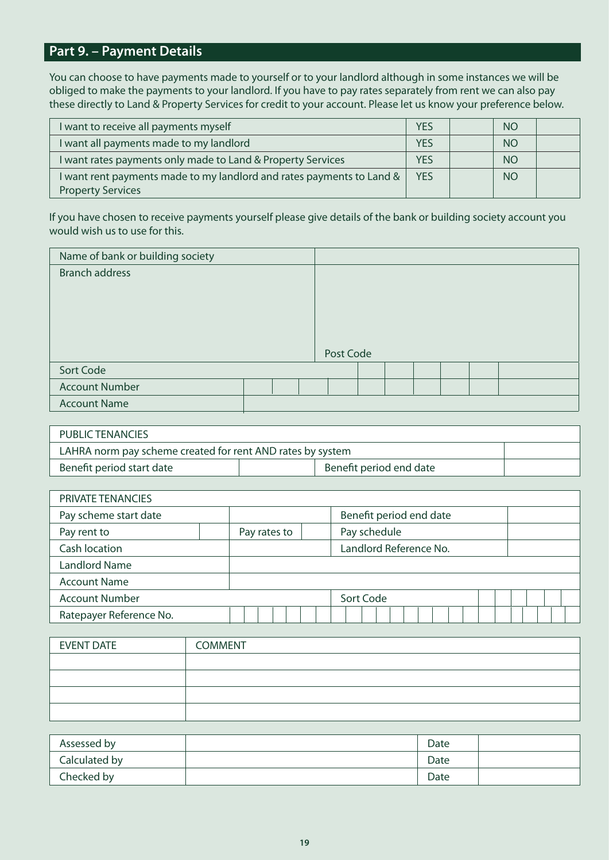# **Part 9. – Payment Details**

You can choose to have payments made to yourself or to your landlord although in some instances we will be obliged to make the payments to your landlord. If you have to pay rates separately from rent we can also pay these directly to Land & Property Services for credit to your account. Please let us know your preference below.

| I want to receive all payments myself                                 | <b>YES</b> | <b>NO</b> |  |
|-----------------------------------------------------------------------|------------|-----------|--|
| I want all payments made to my landlord                               | <b>YES</b> | <b>NO</b> |  |
| I want rates payments only made to Land & Property Services           | <b>YES</b> | <b>NO</b> |  |
| I want rent payments made to my landlord and rates payments to Land & | <b>YES</b> | <b>NO</b> |  |
| <b>Property Services</b>                                              |            |           |  |

If you have chosen to receive payments yourself please give details of the bank or building society account you would wish us to use for this.

| Name of bank or building society |  |           |  |  |  |
|----------------------------------|--|-----------|--|--|--|
| <b>Branch address</b>            |  |           |  |  |  |
|                                  |  |           |  |  |  |
|                                  |  |           |  |  |  |
|                                  |  |           |  |  |  |
|                                  |  |           |  |  |  |
|                                  |  | Post Code |  |  |  |
| Sort Code                        |  |           |  |  |  |
| <b>Account Number</b>            |  |           |  |  |  |
| <b>Account Name</b>              |  |           |  |  |  |

| PUBLIC TENANCIES                                           |  |  |  |  |  |
|------------------------------------------------------------|--|--|--|--|--|
| LAHRA norm pay scheme created for rent AND rates by system |  |  |  |  |  |
| Benefit period end date<br>Benefit period start date       |  |  |  |  |  |

| PRIVATE TENANCIES       |              |                         |
|-------------------------|--------------|-------------------------|
| Pay scheme start date   |              | Benefit period end date |
| Pay rent to             | Pay rates to | Pay schedule            |
| Cash location           |              | Landlord Reference No.  |
| <b>Landlord Name</b>    |              |                         |
| <b>Account Name</b>     |              |                         |
| <b>Account Number</b>   |              | Sort Code               |
| Ratepayer Reference No. |              |                         |

| <b>EVENT DATE</b> | <b>COMMENT</b> |
|-------------------|----------------|
|                   |                |
|                   |                |
|                   |                |
|                   |                |

| Assessed by   | Date |  |
|---------------|------|--|
| Calculated by | Date |  |
| Checked by    | Date |  |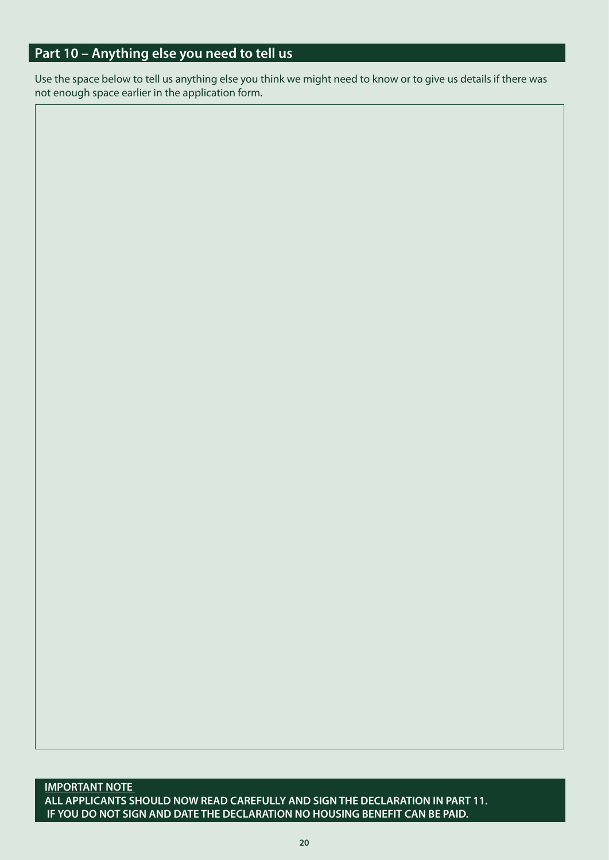# **Part 10 – Anything else you need to tell us**

Use the space below to tell us anything else you think we might need to know or to give us details if there was not enough space earlier in the application form.

**IMPORTANT NOTE ALL APPLICANTS SHOULD NOW READ CAREFULLY AND SIGN THE DECLARATION IN PART 11. IF YOU DO NOT SIGN AND DATE THE DECLARATION NO HOUSING BENEFIT CAN BE PAID.**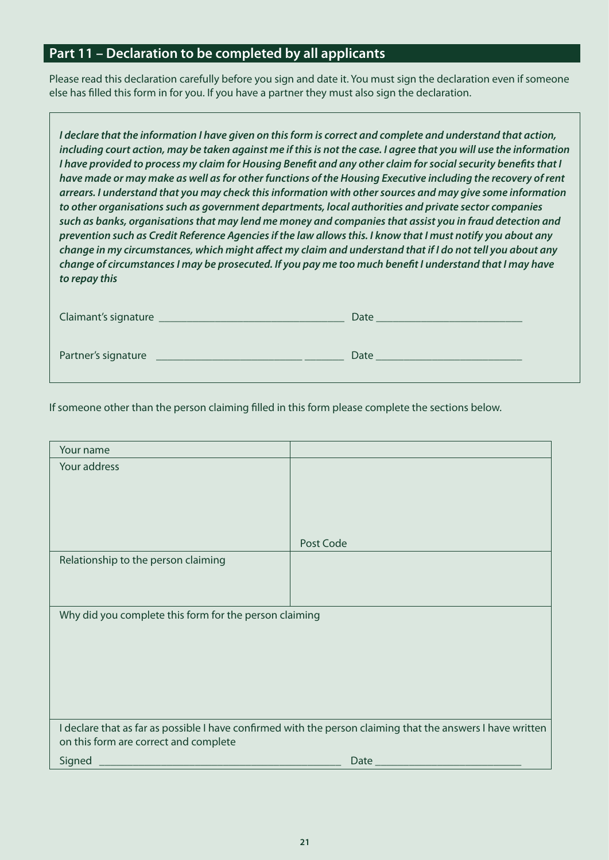# **Part 11 – Declaration to be completed by all applicants**

Please read this declaration carefully before you sign and date it. You must sign the declaration even if someone else has filled this form in for you. If you have a partner they must also sign the declaration.

| Claimant's signature | Date |
|----------------------|------|
| Partner's signature  | Date |

If someone other than the person claiming filled in this form please complete the sections below.

| Your name                                              |                                                                                                             |
|--------------------------------------------------------|-------------------------------------------------------------------------------------------------------------|
| Your address                                           |                                                                                                             |
|                                                        |                                                                                                             |
|                                                        |                                                                                                             |
|                                                        |                                                                                                             |
|                                                        | Post Code                                                                                                   |
| Relationship to the person claiming                    |                                                                                                             |
|                                                        |                                                                                                             |
|                                                        |                                                                                                             |
| Why did you complete this form for the person claiming |                                                                                                             |
|                                                        |                                                                                                             |
|                                                        |                                                                                                             |
|                                                        |                                                                                                             |
|                                                        |                                                                                                             |
|                                                        |                                                                                                             |
| on this form are correct and complete                  | I declare that as far as possible I have confirmed with the person claiming that the answers I have written |
| Signed                                                 | Date $_{-}$                                                                                                 |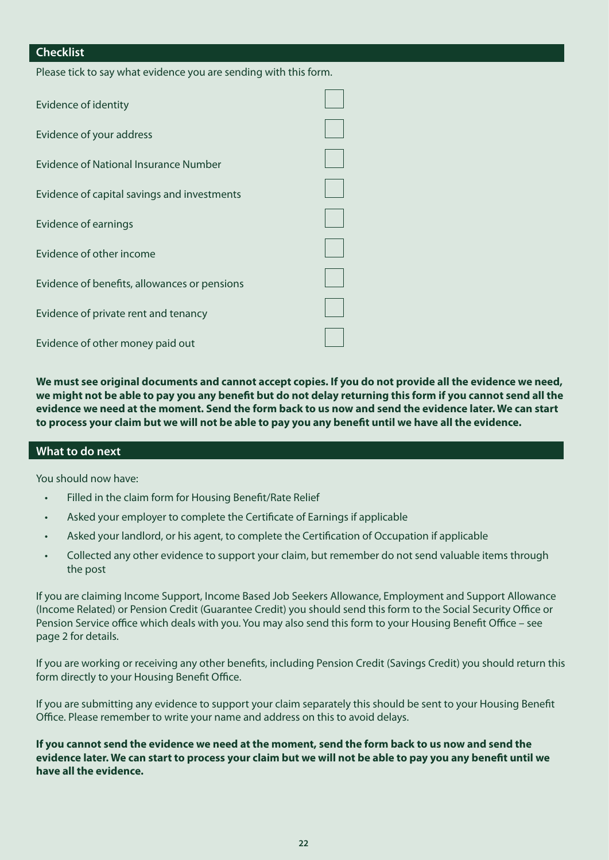#### **Checklist**

Please tick to say what evidence you are sending with this form.

| Evidence of identity                         |  |
|----------------------------------------------|--|
| Evidence of your address                     |  |
| <b>Evidence of National Insurance Number</b> |  |
| Evidence of capital savings and investments  |  |
| Evidence of earnings                         |  |
| Evidence of other income                     |  |
| Evidence of benefits, allowances or pensions |  |
| Evidence of private rent and tenancy         |  |
| Evidence of other money paid out             |  |

**We must see original documents and cannot accept copies. If you do not provide all the evidence we need, we might not be able to pay you any benefit but do not delay returning this form if you cannot send all the evidence we need at the moment. Send the form back to us now and send the evidence later. We can start to process your claim but we will not be able to pay you any benefit until we have all the evidence.**

#### **What to do next**

You should now have:

- Filled in the claim form for Housing Benefit/Rate Relief
- Asked your employer to complete the Certificate of Earnings if applicable
- Asked your landlord, or his agent, to complete the Certification of Occupation if applicable
- Collected any other evidence to support your claim, but remember do not send valuable items through the post

If you are claiming Income Support, Income Based Job Seekers Allowance, Employment and Support Allowance (Income Related) or Pension Credit (Guarantee Credit) you should send this form to the Social Security Office or Pension Service office which deals with you. You may also send this form to your Housing Benefit Office – see page 2 for details.

If you are working or receiving any other benefits, including Pension Credit (Savings Credit) you should return this form directly to your Housing Benefit Office.

If you are submitting any evidence to support your claim separately this should be sent to your Housing Benefit Office. Please remember to write your name and address on this to avoid delays.

**If you cannot send the evidence we need at the moment, send the form back to us now and send the evidence later. We can start to process your claim but we will not be able to pay you any benefit until we have all the evidence.**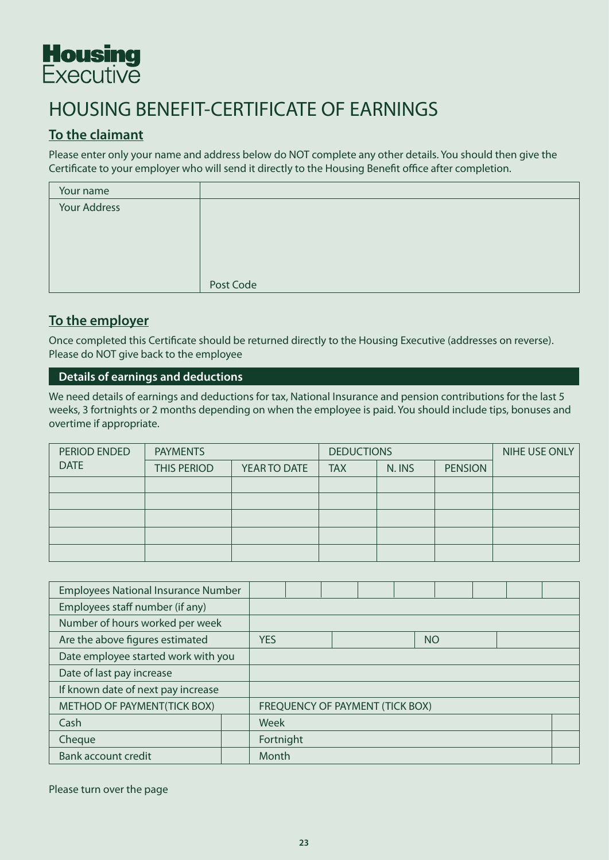

# HOUSING BENEFIT-CERTIFICATE OF EARNINGS

# **To the claimant**

Please enter only your name and address below do NOT complete any other details. You should then give the Certificate to your employer who will send it directly to the Housing Benefit office after completion.

| Your name    |           |
|--------------|-----------|
| Your Address |           |
|              |           |
|              |           |
|              |           |
|              |           |
|              | Post Code |

# **To the employer**

Once completed this Certificate should be returned directly to the Housing Executive (addresses on reverse). Please do NOT give back to the employee

#### **Details of earnings and deductions**

We need details of earnings and deductions for tax, National Insurance and pension contributions for the last 5 weeks, 3 fortnights or 2 months depending on when the employee is paid. You should include tips, bonuses and overtime if appropriate.

| PERIOD ENDED<br><b>PAYMENTS</b> |                    | <b>DEDUCTIONS</b> | NIHE USE ONLY |        |                |  |
|---------------------------------|--------------------|-------------------|---------------|--------|----------------|--|
| <b>DATE</b>                     | <b>THIS PERIOD</b> | YEAR TO DATE      | <b>TAX</b>    | N. INS | <b>PENSION</b> |  |
|                                 |                    |                   |               |        |                |  |
|                                 |                    |                   |               |        |                |  |
|                                 |                    |                   |               |        |                |  |
|                                 |                    |                   |               |        |                |  |
|                                 |                    |                   |               |        |                |  |

| <b>Employees National Insurance Number</b> |  |                                        |  |  |  |           |  |  |  |
|--------------------------------------------|--|----------------------------------------|--|--|--|-----------|--|--|--|
| Employees staff number (if any)            |  |                                        |  |  |  |           |  |  |  |
| Number of hours worked per week            |  |                                        |  |  |  |           |  |  |  |
| Are the above figures estimated            |  | <b>YES</b>                             |  |  |  | <b>NO</b> |  |  |  |
| Date employee started work with you        |  |                                        |  |  |  |           |  |  |  |
| Date of last pay increase                  |  |                                        |  |  |  |           |  |  |  |
| If known date of next pay increase         |  |                                        |  |  |  |           |  |  |  |
| METHOD OF PAYMENT(TICK BOX)                |  | <b>FREQUENCY OF PAYMENT (TICK BOX)</b> |  |  |  |           |  |  |  |
| Cash                                       |  | Week                                   |  |  |  |           |  |  |  |
| Cheque                                     |  | Fortnight                              |  |  |  |           |  |  |  |
| <b>Bank account credit</b>                 |  | Month                                  |  |  |  |           |  |  |  |

Please turn over the page